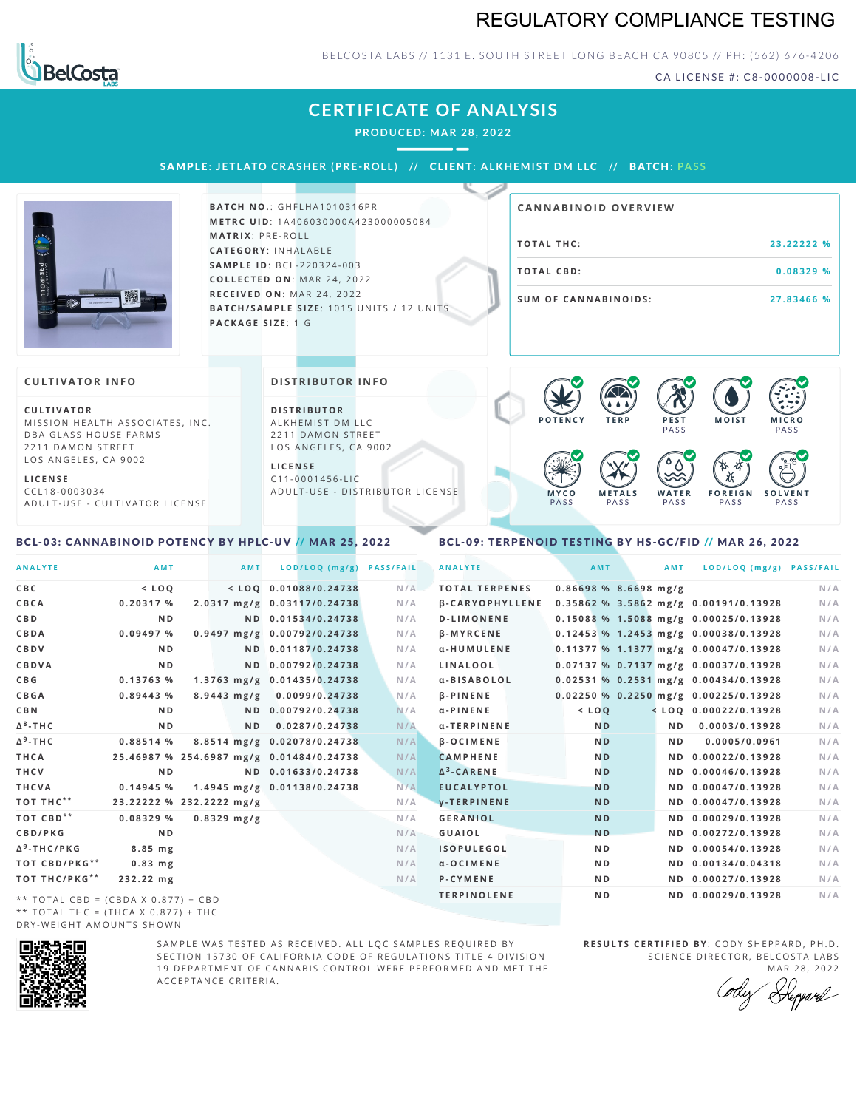## REGULATORY COMPLIANCE TESTING



### BELCOSTA LABS // 1131 E. SOUTH STREET LONG BEACH CA 90805 // PH: (562) 676-4206

CA LICENSE #: C8-0000008-LIC

## **CERTIFICATE OF ANALYSIS**

**PRODUCED: MA R 28, 2022**

SAMPLE: JETLATO CRASHER (PRE-ROLL) // CLIENT: ALKHEMIST DM LLC // BATCH: PASS



**BATCH NO.: GHFLHA1010316PR M E T R C U ID** :1 A 4 0 6 0 3 0 0 0 0 A 4 2 3 0 0 0 0 0 5 0 8 4 **M AT R I X** :P R E - R O L L **CAT E G O R Y** : I N H A L A B L E **SA M P L E I D** :B C L - 2 2 0 3 2 4 - 0 0 3  $COLLECTED ON: MAR 24, 2022$ **R E C E I V E D O N** : M A R 2 4 ,2 0 2 2 **BATCH/SAMPLE SIZE:** 1015 UNITS / 12 UNITS **PAC KA G E S I Z E** : 1 G

| <b>CANNABINOID OVERVIEW</b> |            |
|-----------------------------|------------|
| TOTAL THC:                  | 23.22222 % |
| <b>TOTAL CBD:</b>           | 0.08329%   |
| <b>SUM OF CANNABINOIDS:</b> | 27.83466 % |

#### **CULTIVATOR I N FO**

**C U L T I VAT O R** MISSION HEALTH ASSOCIATES, INC. DBA GLASS HOUSE FARMS 2211 DAMON STREET LOS ANGELES, CA 9002

**L I C E N S E**

C C L 1 8 - 0 0 0 3 0 3 4 A D U L T - U S E - C U L T I V A T O R L I CENSE

#### **DI STRIBUTOR I N FO**

**D I S T R IB U T O R** ALKHEMIST DM LLC 2211 DAMON STREET LOS ANGELES, CA 9002

**L I C E N S E**  $C11 - 0001456 - HC$ A D U L T - U S E - D I STRI B U T O R LICENSE



#### <span id="page-0-0"></span>BCL-03: CANNABINOID POTENCY BY HPLC-UV // MAR 25, 2022

### <span id="page-0-1"></span>BCL-09: TERPENOID TESTING BY HS-GC/FID // MAR 26, 2022

| <b>ANALYTE</b>                      | AMT                      | AMT                     | LOD/LOQ (mg/g)                           | <b>PASS/FAIL</b> | <b>ANALYTE</b>         |         | AMT                     | <b>AMT</b>     | LOD/LOQ (mg/g) PASS/FAIL              |     |
|-------------------------------------|--------------------------|-------------------------|------------------------------------------|------------------|------------------------|---------|-------------------------|----------------|---------------------------------------|-----|
| C B C                               | $<$ LOQ                  |                         | $<$ LOO 0.01088/0.24738                  | N/A              | <b>TOTAL TERPENES</b>  |         | $0.86698$ % 8.6698 mg/g |                |                                       | N/A |
| CBCA                                | 0.20317%                 |                         | 2.0317 mg/g 0.03117/0.24738              | N/A              | <b>B-CARYOPHYLLENE</b> |         |                         |                | 0.35862 % 3.5862 mg/g 0.00191/0.13928 | N/A |
| C B D                               | N <sub>D</sub>           |                         | ND 0.01534/0.24738                       | N/A              | <b>D-LIMONENE</b>      |         |                         |                | 0.15088 % 1.5088 mg/g 0.00025/0.13928 | N/A |
| CBDA                                | 0.09497 %                |                         | 0.9497 mg/g 0.00792/0.24738              | N/A              | <b>B-MYRCENE</b>       |         |                         |                | 0.12453 % 1.2453 mg/g 0.00038/0.13928 | N/A |
| <b>CBDV</b>                         | N <sub>D</sub>           |                         | ND 0.01187/0.24738                       | N/A              | α-HUMULENE             |         |                         |                | 0.11377 % 1.1377 mg/g 0.00047/0.13928 | N/A |
| CBDVA                               | N <sub>D</sub>           |                         | ND 0.00792/0.24738                       | N/A              | LINALOOL               |         |                         |                | 0.07137 % 0.7137 mg/g 0.00037/0.13928 | N/A |
| C B G                               | 0.13763 %                |                         | 1.3763 mg/g 0.01435/0.24738              | N/A              | α-BISABOLOL            |         |                         |                | 0.02531 % 0.2531 mg/g 0.00434/0.13928 | N/A |
| <b>CBGA</b>                         | 0.89443%                 | $8.9443 \, \text{mg/g}$ | 0.0099/0.24738                           | N/A              | $\beta$ -PINENE        |         |                         |                | 0.02250 % 0.2250 mg/g 0.00225/0.13928 | N/A |
| C B N                               | ND.                      |                         | ND 0.00792/0.24738                       | N/A              | $\alpha$ -PINENE       | $<$ LOQ |                         |                | $<$ LOQ 0.00022/0.13928               | N/A |
| Δ <sup>8</sup> -ΤΗ C                | N <sub>D</sub>           | ND.                     | 0.0287/0.24738                           | N/A              | α-TERPINENE            |         | N <sub>D</sub>          | ND.            | 0.0003/0.13928                        | N/A |
| Δ <sup>9</sup> -ΤΗ C                | 0.88514 %                |                         | 8.8514 mg/g 0.02078/0.24738              | N/A              | <b>B-OCIMENE</b>       |         | N <sub>D</sub>          | N <sub>D</sub> | 0.0005/0.0961                         | N/A |
| THCA                                |                          |                         | 25.46987 % 254.6987 mg/g 0.01484/0.24738 | N/A              | <b>CAMPHENE</b>        |         | N <sub>D</sub>          |                | ND 0.00022/0.13928                    | N/A |
| THCV                                | N <sub>D</sub>           |                         | ND 0.01633/0.24738                       | N/A              | $\Delta^3$ -CARENE     |         | N <sub>D</sub>          |                | ND 0.00046/0.13928                    | N/A |
| THCVA                               | 0.14945 %                |                         | 1.4945 mg/g 0.01138/0.24738              | N/A              | <b>EUCALYPTOL</b>      |         | <b>ND</b>               |                | ND 0.00047/0.13928                    | N/A |
| тот тнс**                           | 23.22222 % 232.2222 mg/g |                         |                                          | N/A              | <b>V-TERPINENE</b>     |         | <b>ND</b>               |                | ND 0.00047/0.13928                    | N/A |
| тот свр**                           | 0.08329%                 | $0.8329$ mg/g           |                                          | N/A              | <b>GERANIOL</b>        |         | <b>ND</b>               |                | ND 0.00029/0.13928                    | N/A |
| CBD/PKG                             | N <sub>D</sub>           |                         |                                          | N/A              | <b>GUAIOL</b>          |         | <b>ND</b>               |                | ND 0.00272/0.13928                    | N/A |
| Δ <sup>9</sup> -THC/PKG             | 8.85 mg                  |                         |                                          | N/A              | <b>ISOPULEGOL</b>      |         | N <sub>D</sub>          |                | ND 0.00054/0.13928                    | N/A |
| ТОТ СВD/РКG**                       | $0.83$ mg                |                         |                                          | N/A              | $\alpha$ -OCIMENE      |         | N <sub>D</sub>          |                | ND 0.00134/0.04318                    | N/A |
| ТОТ ТНС/РКG**                       | 232.22 mg                |                         |                                          | N/A              | P-CYMENE               |         | N <sub>D</sub>          |                | ND 0.00027/0.13928                    | N/A |
| ** TOTAL CBD = (CBDA X 0.877) + CBD |                          |                         |                                          |                  | <b>TERPINOLENE</b>     |         | N <sub>D</sub>          |                | ND 0.00029/0.13928                    | N/A |
|                                     |                          |                         |                                          |                  |                        |         |                         |                |                                       |     |

\*\* TOTAL THC = (THCA X  $0.877$ ) + THC DRY-WEIGHT AMOUNTS SHOWN



SAMPLE WAS TESTED AS RECEIVED. ALL LOC SAMPLES REOUIRED BY SECTION 15730 OF CALIFORNIA CODE OF REGULATIONS TITLE 4 DIVISION 19 DEPARTMENT OF CANNABIS CONTROL WERE PERFORMED AND MET THE A C C E P T A N C E C R I T E R I A .

**RESULTS CERTIFIED BY: CODY SHEPPARD, PH.D.** SCIENCE DIRECTOR, BELCOSTA LABS MAR 28, 2022

Depard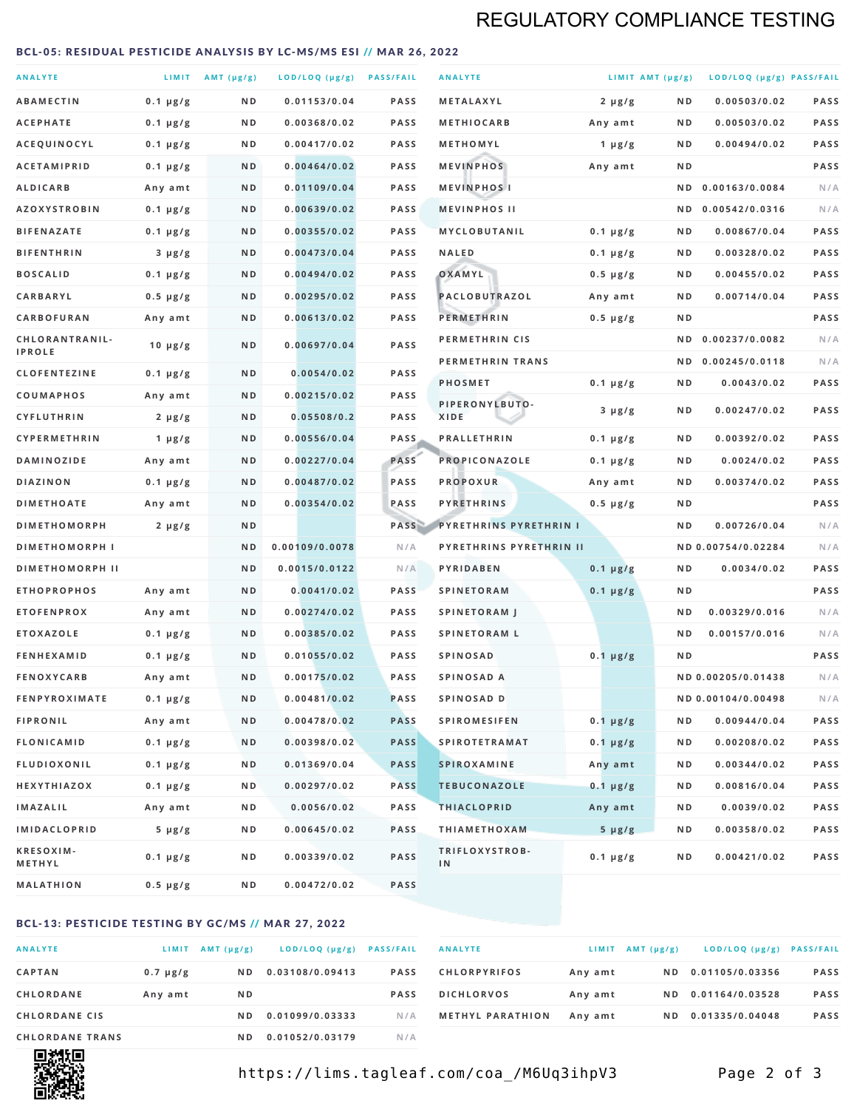## REGULATORY COMPLIANCE TESTING

#### <span id="page-1-0"></span>BCL-05: RESIDUAL PESTICIDE ANALYSIS BY LC-MS/MS ESI // MAR 26, 2022

| <b>ANALYTE</b>                  |                  | LIMIT $AMT (\mu g/g)$ | LOD/LOQ (µg/g) PASS/FAIL |             | <b>ANALYTE</b>                |               | LIMIT AMT $(\mu g/g)$ | LOD/LOQ (µg/g) PASS/FAIL |      |
|---------------------------------|------------------|-----------------------|--------------------------|-------------|-------------------------------|---------------|-----------------------|--------------------------|------|
| <b>ABAMECTIN</b>                | $0.1 \mu g/g$    | ND                    | 0.01153/0.04             | <b>PASS</b> | METALAXYL                     | $2 \mu g/g$   | N D                   | 0.00503/0.02             | PASS |
| <b>ACEPHATE</b>                 | $0.1 \mu g/g$    | ND                    | 0.00368/0.02             | <b>PASS</b> | <b>METHIOCARB</b>             | Any amt       | ND.                   | 0.00503/0.02             | PASS |
| ACEQUINOCYL                     | $0.1 \, \mu g/g$ | N D                   | 0.00417/0.02             | <b>PASS</b> | METHOMYL                      | 1 $\mu$ g/g   | N D                   | 0.00494/0.02             | PASS |
| <b>ACETAMIPRID</b>              | $0.1 \mu g/g$    | ND                    | 0.00464/0.02             | <b>PASS</b> | <b>MEVINPHOS</b>              | Any amt       | ND.                   |                          | PASS |
| <b>ALDICARB</b>                 | Any amt          | N D                   | 0.01109/0.04             | <b>PASS</b> | <b>MEVINPHOSI</b>             |               | N D                   | 0.00163/0.0084           | N/A  |
| <b>AZOXYSTROBIN</b>             | $0.1 \mu g/g$    | N D                   | 0.00639/0.02             | <b>PASS</b> | <b>MEVINPHOS II</b>           |               |                       | ND 0.00542/0.0316        | N/A  |
| <b>BIFENAZATE</b>               | $0.1 \mu g/g$    | ND                    | 0.00355/0.02             | <b>PASS</b> | <b>MYCLOBUTANIL</b>           | $0.1 \mu g/g$ | N D                   | 0.00867/0.04             | PASS |
| <b>BIFENTHRIN</b>               | $3 \mu g/g$      | N D                   | 0.00473/0.04             | <b>PASS</b> | <b>NALED</b>                  | $0.1 \mu g/g$ | ND.                   | 0.00328/0.02             | PASS |
| <b>BOSCALID</b>                 | $0.1 \mu g/g$    | N D                   | 0.00494/0.02             | <b>PASS</b> | OXAMYL                        | $0.5 \mu g/g$ | N D                   | 0.00455/0.02             | PASS |
| <b>CARBARYL</b>                 | $0.5 \mu g/g$    | N D                   | 0.00295/0.02             | <b>PASS</b> | PACLOBUTRAZOL                 | Any amt       | N D                   | 0.00714/0.04             | PASS |
| CARBOFURAN                      | Any amt          | N D                   | 0.00613/0.02             | <b>PASS</b> | <b>PERMETHRIN</b>             | $0.5 \mu g/g$ | ND.                   |                          | PASS |
| CHLORANTRANIL-<br><b>IPROLE</b> | $10 \mu g/g$     | N D                   | 0.00697/0.04             | PASS        | PERMETHRIN CIS                |               | N D                   | 0.00237/0.0082           | N/A  |
| <b>CLOFENTEZINE</b>             | $0.1 \mu g/g$    | N D                   | 0.0054/0.02              | <b>PASS</b> | PERMETHRIN TRANS              |               |                       | ND 0.00245/0.0118        | N/A  |
| COUMAPHOS                       | Any amt          | ND                    | 0.00215/0.02             | <b>PASS</b> | <b>PHOSMET</b>                | $0.1 \mu g/g$ | N D                   | 0.0043/0.02              | PASS |
| <b>CYFLUTHRIN</b>               | $2 \mu g/g$      | ND                    | 0.05508/0.2              | <b>PASS</b> | PIPERONYLBUTO-<br><b>XIDE</b> | $3 \mu g/g$   | N D                   | 0.00247/0.02             | PASS |
| <b>CYPERMETHRIN</b>             | 1 $\mu$ g/g      | N D                   | 0.00556/0.04             | <b>PASS</b> | <b>PRALLETHRIN</b>            | $0.1 \mu g/g$ | N D                   | 0.00392/0.02             | PASS |
| <b>DAMINOZIDE</b>               | Any amt          | N D                   | 0.00227/0.04             | PASS        | PROPICONAZOLE                 | $0.1 \mu g/g$ | ND.                   | 0.0024/0.02              | PASS |
| <b>DIAZINON</b>                 | $0.1 \mu g/g$    | ND                    | 0.00487/0.02             | <b>PASS</b> | <b>PROPOXUR</b>               | Any amt       | N D                   | 0.00374/0.02             | PASS |
| <b>DIMETHOATE</b>               | Any amt          | N D                   | 0.00354/0.02             | PASS        | <b>PYRETHRINS</b>             | $0.5 \mu g/g$ | N D                   |                          | PASS |
| <b>DIMETHOMORPH</b>             | $2 \mu g/g$      | ND                    |                          | PASS        | <b>PYRETHRINS PYRETHRIN I</b> |               | ND                    | 0.00726/0.04             | N/A  |
| <b>DIMETHOMORPH I</b>           |                  | N <sub>D</sub>        | 0.00109/0.0078           | N/A         | PYRETHRINS PYRETHRIN II       |               |                       | ND 0.00754/0.02284       | N/A  |
| <b>DIMETHOMORPH II</b>          |                  | ND                    | 0.0015/0.0122            | N/A         | PYRIDABEN                     | $0.1 \mu g/g$ | N D                   | 0.0034/0.02              | PASS |
| <b>ETHOPROPHOS</b>              | Any amt          | N D                   | 0.0041/0.02              | <b>PASS</b> | <b>SPINETORAM</b>             | $0.1 \mu g/g$ | ND.                   |                          | PASS |
| <b>ETOFENPROX</b>               | Any amt          | ND                    | 0.00274/0.02             | <b>PASS</b> | <b>SPINETORAM J</b>           |               | N D                   | 0.00329/0.016            | N/A  |
| <b>ETOXAZOLE</b>                | $0.1 \mu g/g$    | N D                   | 0.00385/0.02             | <b>PASS</b> | <b>SPINETORAM L</b>           |               | N D                   | 0.00157/0.016            | N/A  |
| <b>FENHEXAMID</b>               | $0.1 \mu g/g$    | N D                   | 0.01055/0.02             | <b>PASS</b> | <b>SPINOSAD</b>               | $0.1 \mu g/g$ | ND.                   |                          | PASS |
| <b>FENOXYCARB</b>               | Any amt          | ND                    | 0.00175/0.02             | <b>PASS</b> | SPINOSAD A                    |               |                       | ND 0.00205/0.01438       | N/A  |
| <b>FENPYROXIMATE</b>            | $0.1 \mu g/g$    | N D                   | 0.00481/0.02             | <b>PASS</b> | SPINOSAD D                    |               |                       | ND 0.00104/0.00498       | N/A  |
| <b>FIPRONIL</b>                 | Any amt          | N D                   | 0.00478/0.02             | <b>PASS</b> | <b>SPIROMESIFEN</b>           | $0.1 \mu g/g$ | N D                   | 0.00944/0.04             | PASS |
| <b>FLONICAMID</b>               | $0.1 \mu g/g$    | N D                   | 0.00398/0.02             | <b>PASS</b> | <b>SPIROTETRAMAT</b>          | $0.1 \mu g/g$ | N D                   | 0.00208/0.02             | PASS |
| FLUDIOXONIL                     | $0.1 \mu g/g$    | N D                   | 0.01369/0.04             | <b>PASS</b> | <b>SPIROXAMINE</b>            | Any amt       | N D                   | 0.00344/0.02             | PASS |
| HEXYTHIAZOX                     | $0.1 \mu g/g$    | N D                   | 0.00297/0.02             | <b>PASS</b> | <b>TEBUCONAZOLE</b>           | $0.1 \mu g/g$ | N D                   | 0.00816/0.04             | PASS |
| <b>IMAZALIL</b>                 | Any amt          | N D                   | 0.0056/0.02              | PASS        | <b>THIACLOPRID</b>            | Any amt       | N D                   | 0.0039/0.02              | PASS |
| <b>IMIDACLOPRID</b>             | $5 \mu g/g$      | N D                   | 0.00645/0.02             | PASS        | <b>THIAMETHOXAM</b>           | $5 \mu g/g$   | N D                   | 0.00358/0.02             | PASS |
| <b>KRESOXIM-</b><br>METHYL      | $0.1 \mu g/g$    | N D                   | 0.00339/0.02             | PASS        | TRIFLOXYSTROB-<br>IN          | $0.1 \mu g/g$ | ND.                   | 0.00421/0.02             | PASS |
| <b>MALATHION</b>                | $0.5 \mu g/g$    | N D                   | 0.00472/0.02             | PASS        |                               |               |                       |                          |      |

### BCL-13: PESTICIDE TESTING BY GC/MS // MAR 27, 2022

| <b>ANALYTE</b>         | LIMIT         | $AMT(\mu g/g)$ | LOD/LOQ (µg/g)  | <b>PASS/FAIL</b> |
|------------------------|---------------|----------------|-----------------|------------------|
| <b>CAPTAN</b>          | $0.7 \mu g/g$ | N D            | 0.03108/0.09413 | <b>PASS</b>      |
| CHLORDANE              | Any amt       | N D            |                 | <b>PASS</b>      |
| <b>CHLORDANE CIS</b>   |               | ND.            | 0.01099/0.03333 | N/A              |
| <b>CHLORDANE TRANS</b> |               | N D            | 0.01052/0.03179 | N / A            |

| <b>ANALYTE</b>          | LIMIT   | $AMT(\mu g/g)$ | LOD/LOQ (µg/g) PASS/FAIL |             |
|-------------------------|---------|----------------|--------------------------|-------------|
| <b>CHLORPYRIFOS</b>     | Any amt | ND.            | 0.01105/0.03356          | <b>PASS</b> |
| <b>DICHLORVOS</b>       | Any amt | ND.            | 0.01164/0.03528          | <b>PASS</b> |
| <b>METHYL PARATHION</b> | Any amt | ND.            | 0.01335/0.04048          | <b>PASS</b> |